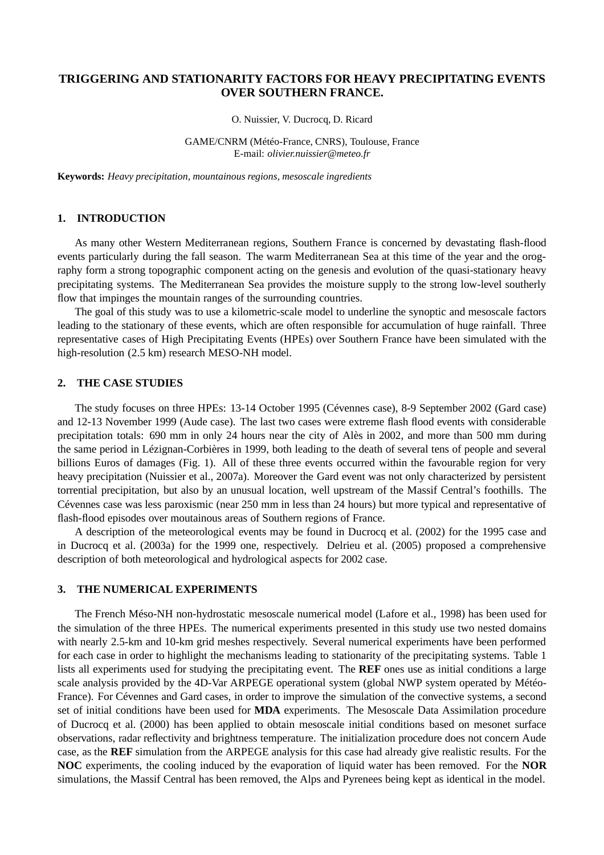# **TRIGGERING AND STATIONARITY FACTORS FOR HEAVY PRECIPITATING EVENTS OVER SOUTHERN FRANCE.**

O. Nuissier, V. Ducrocq, D. Ricard

GAME/CNRM (Météo-France, CNRS), Toulouse, France E-mail: *olivier.nuissier@meteo.fr*

**Keywords:** *Heavy precipitation, mountainous regions, mesoscale ingredients*

# **1. INTRODUCTION**

As many other Western Mediterranean regions, Southern France is concerned by devastating flash-flood events particularly during the fall season. The warm Mediterranean Sea at this time of the year and the orography form a strong topographic component acting on the genesis and evolution of the quasi-stationary heavy precipitating systems. The Mediterranean Sea provides the moisture supply to the strong low-level southerly flow that impinges the mountain ranges of the surrounding countries.

The goal of this study was to use a kilometric-scale model to underline the synoptic and mesoscale factors leading to the stationary of these events, which are often responsible for accumulation of huge rainfall. Three representative cases of High Precipitating Events (HPEs) over Southern France have been simulated with the high-resolution (2.5 km) research MESO-NH model.

# **2. THE CASE STUDIES**

The study focuses on three HPEs: 13-14 October 1995 (Cévennes case), 8-9 September 2002 (Gard case) and 12-13 November 1999 (Aude case). The last two cases were extreme flash flood events with considerable precipitation totals: 690 mm in only 24 hours near the city of Alès in 2002, and more than 500 mm during the same period in Lézignan-Corbières in 1999, both leading to the death of several tens of people and several billions Euros of damages (Fig. 1). All of these three events occurred within the favourable region for very heavy precipitation (Nuissier et al., 2007a). Moreover the Gard event was not only characterized by persistent torrential precipitation, but also by an unusual location, well upstream of the Massif Central's foothills. The Cévennes case was less paroxismic (near 250 mm in less than 24 hours) but more typical and representative of flash-flood episodes over moutainous areas of Southern regions of France.

A description of the meteorological events may be found in Ducrocq et al. (2002) for the 1995 case and in Ducrocq et al. (2003a) for the 1999 one, respectively. Delrieu et al. (2005) proposed a comprehensive description of both meteorological and hydrological aspects for 2002 case.

### **3. THE NUMERICAL EXPERIMENTS**

The French Méso-NH non-hydrostatic mesoscale numerical model (Lafore et al., 1998) has been used for the simulation of the three HPEs. The numerical experiments presented in this study use two nested domains with nearly 2.5-km and 10-km grid meshes respectively. Several numerical experiments have been performed for each case in order to highlight the mechanisms leading to stationarity of the precipitating systems. Table 1 lists all experiments used for studying the precipitating event. The **REF** ones use as initial conditions a large scale analysis provided by the 4D-Var ARPEGE operational system (global NWP system operated by Météo-France). For Cévennes and Gard cases, in order to improve the simulation of the convective systems, a second set of initial conditions have been used for **MDA** experiments. The Mesoscale Data Assimilation procedure of Ducrocq et al. (2000) has been applied to obtain mesoscale initial conditions based on mesonet surface observations, radar reflectivity and brightness temperature. The initialization procedure does not concern Aude case, as the **REF** simulation from the ARPEGE analysis for this case had already give realistic results. For the **NOC** experiments, the cooling induced by the evaporation of liquid water has been removed. For the **NOR** simulations, the Massif Central has been removed, the Alps and Pyrenees being kept as identical in the model.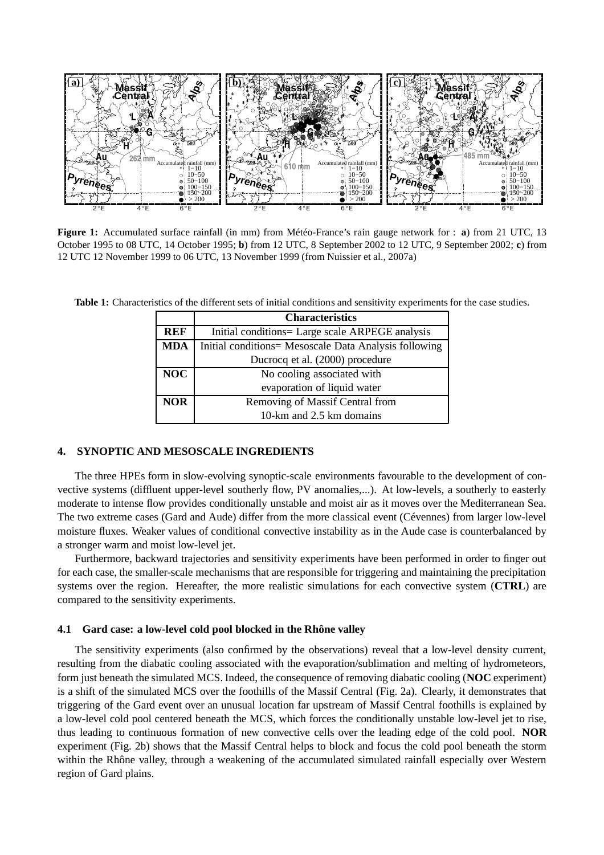

**Figure 1:** Accumulated surface rainfall (in mm) from Météo-France's rain gauge network for : **a**) from 21 UTC, 13 October 1995 to 08 UTC, 14 October 1995; **b**) from 12 UTC, 8 September 2002 to 12 UTC, 9 September 2002; **c**) from 12 UTC 12 November 1999 to 06 UTC, 13 November 1999 (from Nuissier et al., 2007a)

**Table 1:** Characteristics of the different sets of initial conditions and sensitivity experiments for the case studies.

|            | <b>Characteristics</b>                                |
|------------|-------------------------------------------------------|
| <b>REF</b> | Initial conditions= Large scale ARPEGE analysis       |
| <b>MDA</b> | Initial conditions= Mesoscale Data Analysis following |
|            | Ducrocq et al. (2000) procedure                       |
| <b>NOC</b> | No cooling associated with                            |
|            | evaporation of liquid water                           |
| <b>NOR</b> | Removing of Massif Central from                       |
|            | 10-km and 2.5 km domains                              |

### **4. SYNOPTIC AND MESOSCALE INGREDIENTS**

The three HPEs form in slow-evolving synoptic-scale environments favourable to the development of convective systems (diffluent upper-level southerly flow, PV anomalies,...). At low-levels, a southerly to easterly moderate to intense flow provides conditionally unstable and moist air as it moves over the Mediterranean Sea. The two extreme cases (Gard and Aude) differ from the more classical event (Cévennes) from larger low-level moisture fluxes. Weaker values of conditional convective instability as in the Aude case is counterbalanced by a stronger warm and moist low-level jet.

Furthermore, backward trajectories and sensitivity experiments have been performed in order to finger out for each case, the smaller-scale mechanisms that are responsible for triggering and maintaining the precipitation systems over the region. Hereafter, the more realistic simulations for each convective system (**CTRL**) are compared to the sensitivity experiments.

### **4.1 Gard case: a low-level cold pool blocked in the Rhône valley**

The sensitivity experiments (also confirmed by the observations) reveal that a low-level density current, resulting from the diabatic cooling associated with the evaporation/sublimation and melting of hydrometeors, form just beneath the simulated MCS. Indeed, the consequence of removing diabatic cooling (**NOC** experiment) is a shift of the simulated MCS over the foothills of the Massif Central (Fig. 2a). Clearly, it demonstrates that triggering of the Gard event over an unusual location far upstream of Massif Central foothills is explained by a low-level cold pool centered beneath the MCS, which forces the conditionally unstable low-level jet to rise, thus leading to continuous formation of new convective cells over the leading edge of the cold pool. **NOR** experiment (Fig. 2b) shows that the Massif Central helps to block and focus the cold pool beneath the storm within the Rhône valley, through a weakening of the accumulated simulated rainfall especially over Western region of Gard plains.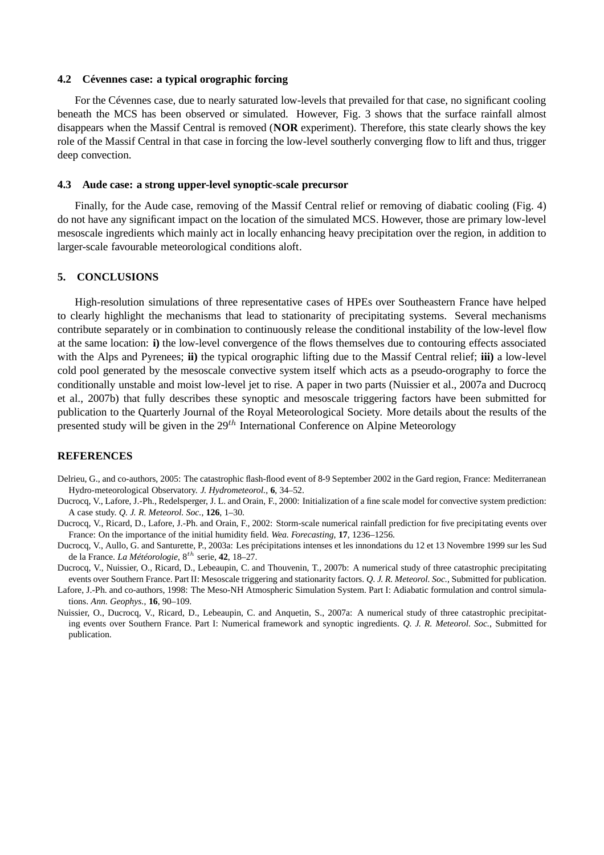#### **4.2 Cévennes case: a typical orographic forcing**

For the Cévennes case, due to nearly saturated low-levels that prevailed for that case, no significant cooling beneath the MCS has been observed or simulated. However, Fig. 3 shows that the surface rainfall almost disappears when the Massif Central is removed (**NOR** experiment). Therefore, this state clearly shows the key role of the Massif Central in that case in forcing the low-level southerly converging flow to lift and thus, trigger deep convection.

#### **4.3 Aude case: a strong upper-level synoptic-scale precursor**

Finally, for the Aude case, removing of the Massif Central relief or removing of diabatic cooling (Fig. 4) do not have any significant impact on the location of the simulated MCS. However, those are primary low-level mesoscale ingredients which mainly act in locally enhancing heavy precipitation over the region, in addition to larger-scale favourable meteorological conditions aloft.

### **5. CONCLUSIONS**

High-resolution simulations of three representative cases of HPEs over Southeastern France have helped to clearly highlight the mechanisms that lead to stationarity of precipitating systems. Several mechanisms contribute separately or in combination to continuously release the conditional instability of the low-level flow at the same location: **i)** the low-level convergence of the flows themselves due to contouring effects associated with the Alps and Pyrenees; **ii)** the typical orographic lifting due to the Massif Central relief; **iii)** a low-level cold pool generated by the mesoscale convective system itself which acts as a pseudo-orography to force the conditionally unstable and moist low-level jet to rise. A paper in two parts (Nuissier et al., 2007a and Ducrocq et al., 2007b) that fully describes these synoptic and mesoscale triggering factors have been submitted for publication to the Quarterly Journal of the Royal Meteorological Society. More details about the results of the presented study will be given in the  $29<sup>th</sup>$  International Conference on Alpine Meteorology

#### **REFERENCES**

- Delrieu, G., and co-authors, 2005: The catastrophic flash-flood event of 8-9 September 2002 in the Gard region, France: Mediterranean Hydro-meteorological Observatory. *J. Hydrometeorol.*, **6**, 34–52.
- Ducrocq, V., Lafore, J.-Ph., Redelsperger, J. L. and Orain, F., 2000: Initialization of a fine scale model for convective system prediction: A case study. *Q. J. R. Meteorol. Soc.*, **126**, 1–30.
- Ducrocq, V., Ricard, D., Lafore, J.-Ph. and Orain, F., 2002: Storm-scale numerical rainfall prediction for five precipitating events over France: On the importance of the initial humidity field. *Wea. Forecasting*, **17**, 1236–1256.
- Ducrocq, V., Aullo, G. and Santurette, P., 2003a: Les précipitations intenses et les innondations du 12 et 13 Novembre 1999 sur les Sud de la France. *La Météorologie*, 8th serie, **42**, 18–27.
- Ducrocq, V., Nuissier, O., Ricard, D., Lebeaupin, C. and Thouvenin, T., 2007b: A numerical study of three catastrophic precipitating events over Southern France. Part II: Mesoscale triggering and stationarity factors. *Q. J. R. Meteorol. Soc.*, Submitted for publication.
- Lafore, J.-Ph. and co-authors, 1998: The Meso-NH Atmospheric Simulation System. Part I: Adiabatic formulation and control simulations. *Ann. Geophys.*, **16**, 90–109.
- Nuissier, O., Ducrocq, V., Ricard, D., Lebeaupin, C. and Anquetin, S., 2007a: A numerical study of three catastrophic precipitating events over Southern France. Part I: Numerical framework and synoptic ingredients. *Q. J. R. Meteorol. Soc.*, Submitted for publication.